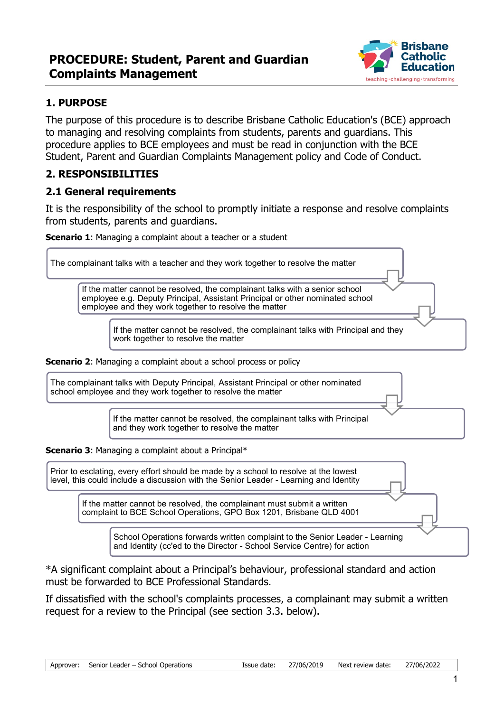

# **1. PURPOSE**

The purpose of this procedure is to describe Brisbane Catholic Education's (BCE) approach to managing and resolving complaints from students, parents and guardians. This procedure applies to BCE employees and must be read in conjunction with the BCE Student, Parent and Guardian Complaints Management policy and Code of Conduct.

### **2. RESPONSIBILITIES**

### **2.1 General requirements**

It is the responsibility of the school to promptly initiate a response and resolve complaints from students, parents and guardians.

**Scenario 1**: Managing a complaint about a teacher or a student

**Scenario 2:** Managing a complaint about a school process or policy The complainant talks with a teacher and they work together to resolve the matter If the matter cannot be resolved, the complainant talks with a senior school employee e.g. Deputy Principal, Assistant Principal or other nominated school employee and they work together to resolve the matter If the matter cannot be resolved, the complainant talks with Principal and they work together to resolve the matter The complainant talks with Deputy Principal, Assistant Principal or other nominated school employee and they work together to resolve the matter If the matter cannot be resolved, the complainant talks with Principal and they work together to resolve the matter

**Scenario 3**: Managing a complaint about a Principal\*

Prior to esclating, every effort should be made by a school to resolve at the lowest level, this could include a discussion with the Senior Leader - Learning and Identity

> If the matter cannot be resolved, the complainant must submit a written complaint to BCE School Operations, GPO Box 1201, Brisbane QLD 4001

> > School Operations forwards written complaint to the Senior Leader - Learning and Identity (cc'ed to the Director - School Service Centre) for action

\*A significant complaint about a Principal's behaviour, professional standard and action must be forwarded to BCE Professional Standards.

If dissatisfied with the school's complaints processes, a complainant may submit a written request for a review to the Principal (see section 3.3. below).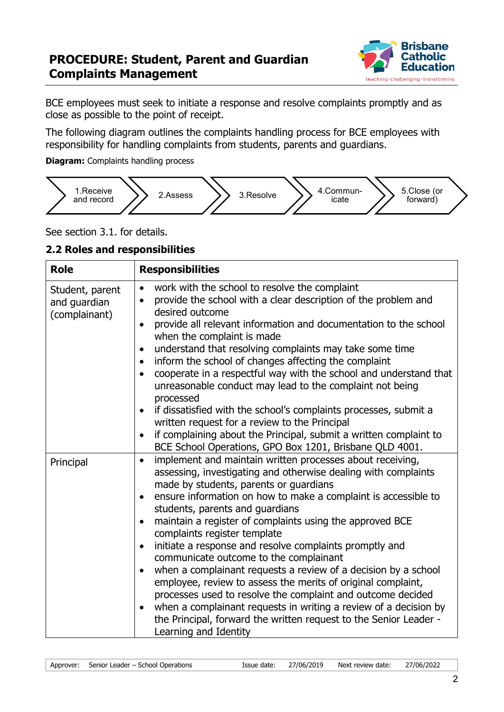

BCE employees must seek to initiate a response and resolve complaints promptly and as close as possible to the point of receipt.

The following diagram outlines the complaints handling process for BCE employees with responsibility for handling complaints from students, parents and guardians.

**Diagram:** Complaints handling process



See section 3.1. for details.

#### **2.2 Roles and responsibilities**

| <b>Role</b>                                      | <b>Responsibilities</b>                                                                                                                                                                                                                                                                                                                                                                                                                                                                                                                                                                                               |
|--------------------------------------------------|-----------------------------------------------------------------------------------------------------------------------------------------------------------------------------------------------------------------------------------------------------------------------------------------------------------------------------------------------------------------------------------------------------------------------------------------------------------------------------------------------------------------------------------------------------------------------------------------------------------------------|
| Student, parent<br>and guardian<br>(complainant) | work with the school to resolve the complaint<br>$\bullet$<br>provide the school with a clear description of the problem and<br>desired outcome<br>provide all relevant information and documentation to the school<br>when the complaint is made<br>understand that resolving complaints may take some time<br>$\bullet$<br>inform the school of changes affecting the complaint<br>٠<br>cooperate in a respectful way with the school and understand that<br>$\bullet$<br>unreasonable conduct may lead to the complaint not being<br>processed<br>if dissatisfied with the school's complaints processes, submit a |
|                                                  | $\bullet$<br>written request for a review to the Principal<br>if complaining about the Principal, submit a written complaint to<br>$\bullet$<br>BCE School Operations, GPO Box 1201, Brisbane QLD 4001.                                                                                                                                                                                                                                                                                                                                                                                                               |
| Principal                                        | implement and maintain written processes about receiving,<br>$\bullet$<br>assessing, investigating and otherwise dealing with complaints<br>made by students, parents or guardians<br>ensure information on how to make a complaint is accessible to<br>$\bullet$<br>students, parents and guardians<br>maintain a register of complaints using the approved BCE<br>$\bullet$<br>complaints register template<br>initiate a response and resolve complaints promptly and<br>$\bullet$                                                                                                                                 |
|                                                  | communicate outcome to the complainant<br>when a complainant requests a review of a decision by a school<br>employee, review to assess the merits of original complaint,<br>processes used to resolve the complaint and outcome decided<br>when a complainant requests in writing a review of a decision by<br>$\bullet$<br>the Principal, forward the written request to the Senior Leader -<br>Learning and Identity                                                                                                                                                                                                |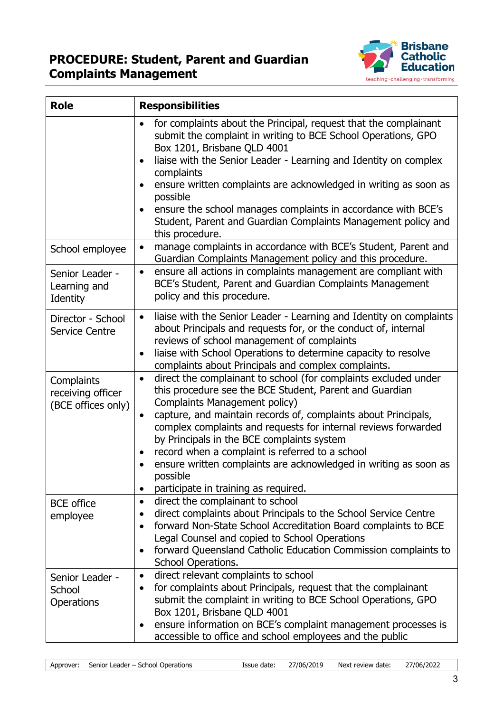

| <b>Role</b>                                           | <b>Responsibilities</b>                                                                                                                                                                                                                                                                                                                                                                                                                                                                                                                    |
|-------------------------------------------------------|--------------------------------------------------------------------------------------------------------------------------------------------------------------------------------------------------------------------------------------------------------------------------------------------------------------------------------------------------------------------------------------------------------------------------------------------------------------------------------------------------------------------------------------------|
|                                                       | for complaints about the Principal, request that the complainant<br>$\bullet$<br>submit the complaint in writing to BCE School Operations, GPO<br>Box 1201, Brisbane QLD 4001<br>liaise with the Senior Leader - Learning and Identity on complex<br>$\bullet$<br>complaints<br>ensure written complaints are acknowledged in writing as soon as<br>$\bullet$<br>possible<br>ensure the school manages complaints in accordance with BCE's<br>Student, Parent and Guardian Complaints Management policy and<br>this procedure.             |
| School employee                                       | manage complaints in accordance with BCE's Student, Parent and<br>$\bullet$<br>Guardian Complaints Management policy and this procedure.                                                                                                                                                                                                                                                                                                                                                                                                   |
| Senior Leader -<br>Learning and<br>Identity           | ensure all actions in complaints management are compliant with<br>$\bullet$<br>BCE's Student, Parent and Guardian Complaints Management<br>policy and this procedure.                                                                                                                                                                                                                                                                                                                                                                      |
| Director - School<br><b>Service Centre</b>            | liaise with the Senior Leader - Learning and Identity on complaints<br>$\bullet$<br>about Principals and requests for, or the conduct of, internal<br>reviews of school management of complaints<br>liaise with School Operations to determine capacity to resolve<br>$\bullet$<br>complaints about Principals and complex complaints.                                                                                                                                                                                                     |
| Complaints<br>receiving officer<br>(BCE offices only) | direct the complainant to school (for complaints excluded under<br>$\bullet$<br>this procedure see the BCE Student, Parent and Guardian<br>Complaints Management policy)<br>capture, and maintain records of, complaints about Principals,<br>complex complaints and requests for internal reviews forwarded<br>by Principals in the BCE complaints system<br>record when a complaint is referred to a school<br>٠<br>ensure written complaints are acknowledged in writing as soon as<br>possible<br>participate in training as required. |
| <b>BCE</b> office<br>employee                         | direct the complainant to school<br>$\bullet$<br>direct complaints about Principals to the School Service Centre<br>$\bullet$<br>forward Non-State School Accreditation Board complaints to BCE<br>$\bullet$<br>Legal Counsel and copied to School Operations<br>forward Queensland Catholic Education Commission complaints to<br>٠<br>School Operations.                                                                                                                                                                                 |
| Senior Leader -<br>School<br><b>Operations</b>        | direct relevant complaints to school<br>$\bullet$<br>for complaints about Principals, request that the complainant<br>submit the complaint in writing to BCE School Operations, GPO<br>Box 1201, Brisbane QLD 4001<br>ensure information on BCE's complaint management processes is<br>accessible to office and school employees and the public                                                                                                                                                                                            |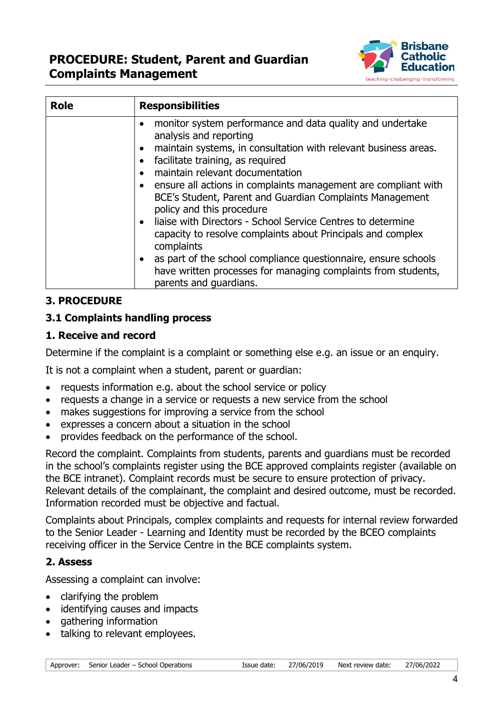

| <b>Role</b> | <b>Responsibilities</b>                                                                                                                                                                                                                                                                                                                                                                                                                                                                                                                                                                                                                                                                                                                                                           |
|-------------|-----------------------------------------------------------------------------------------------------------------------------------------------------------------------------------------------------------------------------------------------------------------------------------------------------------------------------------------------------------------------------------------------------------------------------------------------------------------------------------------------------------------------------------------------------------------------------------------------------------------------------------------------------------------------------------------------------------------------------------------------------------------------------------|
|             | monitor system performance and data quality and undertake<br>$\bullet$<br>analysis and reporting<br>maintain systems, in consultation with relevant business areas.<br>$\bullet$<br>facilitate training, as required<br>$\bullet$<br>maintain relevant documentation<br>$\bullet$<br>ensure all actions in complaints management are compliant with<br>$\bullet$<br>BCE's Student, Parent and Guardian Complaints Management<br>policy and this procedure<br>• liaise with Directors - School Service Centres to determine<br>capacity to resolve complaints about Principals and complex<br>complaints<br>as part of the school compliance questionnaire, ensure schools<br>$\bullet$<br>have written processes for managing complaints from students,<br>parents and guardians. |

## **3. PROCEDURE**

### **3.1 Complaints handling process**

### **1. Receive and record**

Determine if the complaint is a complaint or something else e.g. an issue or an enquiry.

It is not a complaint when a student, parent or guardian:

- requests information e.g. about the school service or policy
- requests a change in a service or requests a new service from the school
- makes suggestions for improving a service from the school
- expresses a concern about a situation in the school
- provides feedback on the performance of the school.

Record the complaint. Complaints from students, parents and guardians must be recorded in the school's complaints register using the BCE approved complaints register (available on the BCE intranet). Complaint records must be secure to ensure protection of privacy. Relevant details of the complainant, the complaint and desired outcome, must be recorded. Information recorded must be objective and factual.

Complaints about Principals, complex complaints and requests for internal review forwarded to the Senior Leader - Learning and Identity must be recorded by the BCEO complaints receiving officer in the Service Centre in the BCE complaints system.

### **2. Assess**

Assessing a complaint can involve:

- clarifying the problem
- identifying causes and impacts
- gathering information
- talking to relevant employees.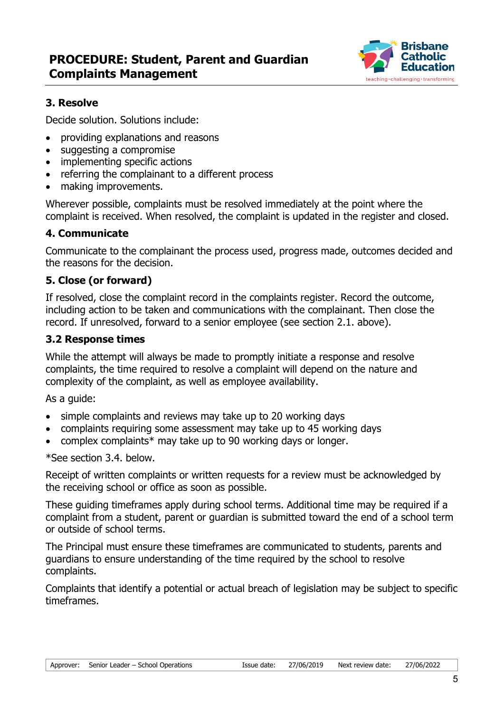

# **3. Resolve**

Decide solution. Solutions include:

- providing explanations and reasons
- suggesting a compromise
- implementing specific actions
- referring the complainant to a different process
- making improvements.

Wherever possible, complaints must be resolved immediately at the point where the complaint is received. When resolved, the complaint is updated in the register and closed.

## **4. Communicate**

Communicate to the complainant the process used, progress made, outcomes decided and the reasons for the decision.

# **5. Close (or forward)**

If resolved, close the complaint record in the complaints register. Record the outcome, including action to be taken and communications with the complainant. Then close the record. If unresolved, forward to a senior employee (see section 2.1. above).

### **3.2 Response times**

While the attempt will always be made to promptly initiate a response and resolve complaints, the time required to resolve a complaint will depend on the nature and complexity of the complaint, as well as employee availability.

As a guide:

- simple complaints and reviews may take up to 20 working days
- complaints requiring some assessment may take up to 45 working days
- complex complaints\* may take up to 90 working days or longer.

\*See section 3.4. below.

Receipt of written complaints or written requests for a review must be acknowledged by the receiving school or office as soon as possible.

These guiding timeframes apply during school terms. Additional time may be required if a complaint from a student, parent or guardian is submitted toward the end of a school term or outside of school terms.

The Principal must ensure these timeframes are communicated to students, parents and guardians to ensure understanding of the time required by the school to resolve complaints.

Complaints that identify a potential or actual breach of legislation may be subject to specific timeframes.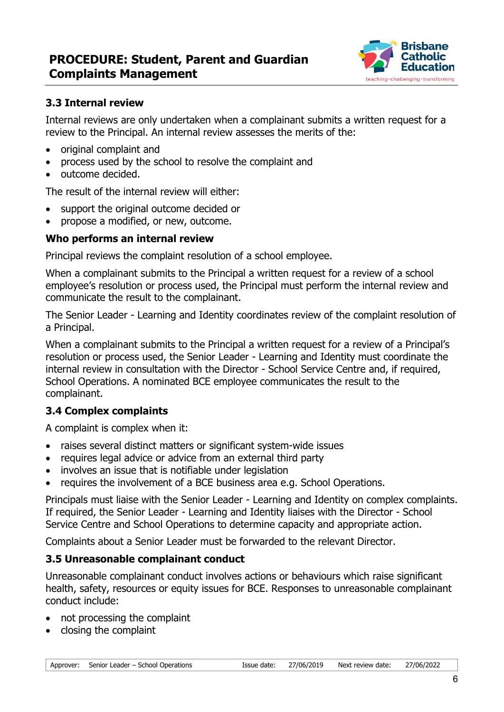

### **3.3 Internal review**

Internal reviews are only undertaken when a complainant submits a written request for a review to the Principal. An internal review assesses the merits of the:

- original complaint and
- process used by the school to resolve the complaint and
- outcome decided.

The result of the internal review will either:

- support the original outcome decided or
- propose a modified, or new, outcome.

### **Who performs an internal review**

Principal reviews the complaint resolution of a school employee.

When a complainant submits to the Principal a written request for a review of a school employee's resolution or process used, the Principal must perform the internal review and communicate the result to the complainant.

The Senior Leader - Learning and Identity coordinates review of the complaint resolution of a Principal.

When a complainant submits to the Principal a written request for a review of a Principal's resolution or process used, the Senior Leader - Learning and Identity must coordinate the internal review in consultation with the Director - School Service Centre and, if required, School Operations. A nominated BCE employee communicates the result to the complainant.

## **3.4 Complex complaints**

A complaint is complex when it:

- raises several distinct matters or significant system-wide issues
- requires legal advice or advice from an external third party
- involves an issue that is notifiable under legislation
- requires the involvement of a BCE business area e.g. School Operations.

Principals must liaise with the Senior Leader - Learning and Identity on complex complaints. If required, the Senior Leader - Learning and Identity liaises with the Director - School Service Centre and School Operations to determine capacity and appropriate action.

Complaints about a Senior Leader must be forwarded to the relevant Director.

## **3.5 Unreasonable complainant conduct**

Unreasonable complainant conduct involves actions or behaviours which raise significant health, safety, resources or equity issues for BCE. Responses to unreasonable complainant conduct include:

- not processing the complaint
- closing the complaint